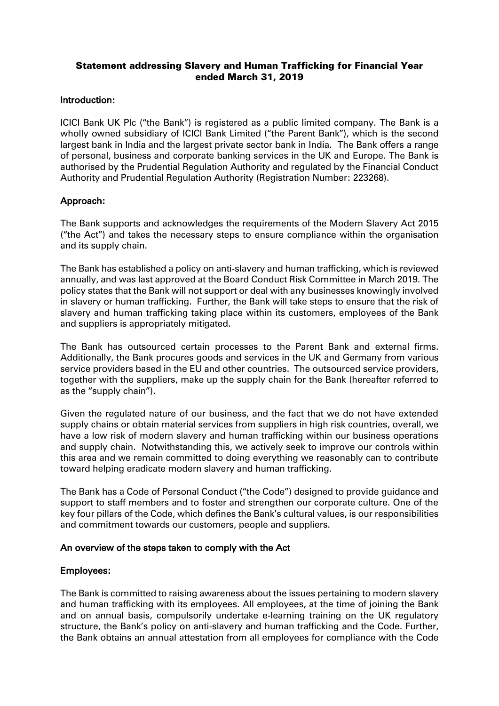# Statement addressing Slavery and Human Trafficking for Financial Year ended March 31, 2019

### Introduction:

ICICI Bank UK Plc ("the Bank") is registered as a public limited company. The Bank is a wholly owned subsidiary of ICICI Bank Limited ("the Parent Bank"), which is the second largest bank in India and the largest private sector bank in India. The Bank offers a range of personal, business and corporate banking services in the UK and Europe. The Bank is authorised by the Prudential Regulation Authority and regulated by the Financial Conduct Authority and Prudential Regulation Authority (Registration Number: 223268).

### Approach:

The Bank supports and acknowledges the requirements of the Modern Slavery Act 2015 ("the Act") and takes the necessary steps to ensure compliance within the organisation and its supply chain.

The Bank has established a policy on anti-slavery and human trafficking, which is reviewed annually, and was last approved at the Board Conduct Risk Committee in March 2019. The policy states that the Bank will not support or deal with any businesses knowingly involved in slavery or human trafficking. Further, the Bank will take steps to ensure that the risk of slavery and human trafficking taking place within its customers, employees of the Bank and suppliers is appropriately mitigated.

The Bank has outsourced certain processes to the Parent Bank and external firms. Additionally, the Bank procures goods and services in the UK and Germany from various service providers based in the EU and other countries. The outsourced service providers, together with the suppliers, make up the supply chain for the Bank (hereafter referred to as the "supply chain").

Given the regulated nature of our business, and the fact that we do not have extended supply chains or obtain material services from suppliers in high risk countries, overall, we have a low risk of modern slavery and human trafficking within our business operations and supply chain. Notwithstanding this, we actively seek to improve our controls within this area and we remain committed to doing everything we reasonably can to contribute toward helping eradicate modern slavery and human trafficking.

The Bank has a Code of Personal Conduct ("the Code") designed to provide guidance and support to staff members and to foster and strengthen our corporate culture. One of the key four pillars of the Code, which defines the Bank's cultural values, is our responsibilities and commitment towards our customers, people and suppliers.

### An overview of the steps taken to comply with the Act

#### Employees:

The Bank is committed to raising awareness about the issues pertaining to modern slavery and human trafficking with its employees. All employees, at the time of joining the Bank and on annual basis, compulsorily undertake e-learning training on the UK regulatory structure, the Bank's policy on anti-slavery and human trafficking and the Code. Further, the Bank obtains an annual attestation from all employees for compliance with the Code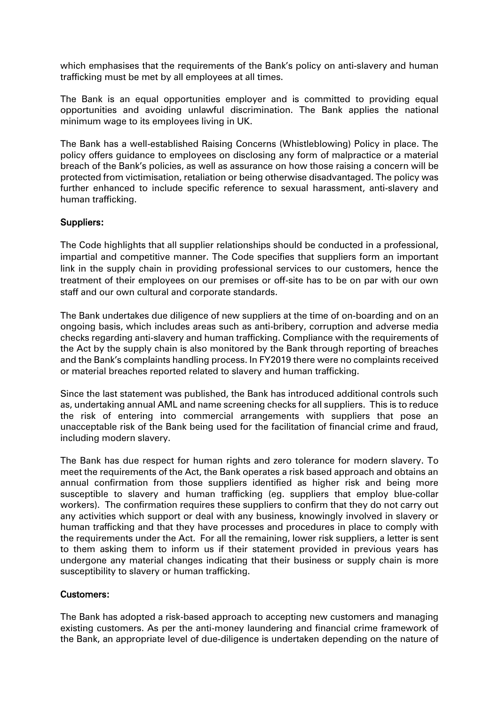which emphasises that the requirements of the Bank's policy on anti-slavery and human trafficking must be met by all employees at all times.

The Bank is an equal opportunities employer and is committed to providing equal opportunities and avoiding unlawful discrimination. The Bank applies the national minimum wage to its employees living in UK.

The Bank has a well-established Raising Concerns (Whistleblowing) Policy in place. The policy offers guidance to employees on disclosing any form of malpractice or a material breach of the Bank's policies, as well as assurance on how those raising a concern will be protected from victimisation, retaliation or being otherwise disadvantaged. The policy was further enhanced to include specific reference to sexual harassment, anti-slavery and human trafficking.

# Suppliers:

The Code highlights that all supplier relationships should be conducted in a professional, impartial and competitive manner. The Code specifies that suppliers form an important link in the supply chain in providing professional services to our customers, hence the treatment of their employees on our premises or off-site has to be on par with our own staff and our own cultural and corporate standards.

The Bank undertakes due diligence of new suppliers at the time of on-boarding and on an ongoing basis, which includes areas such as anti-bribery, corruption and adverse media checks regarding anti-slavery and human trafficking. Compliance with the requirements of the Act by the supply chain is also monitored by the Bank through reporting of breaches and the Bank's complaints handling process. In FY2019 there were no complaints received or material breaches reported related to slavery and human trafficking.

Since the last statement was published, the Bank has introduced additional controls such as, undertaking annual AML and name screening checks for all suppliers. This is to reduce the risk of entering into commercial arrangements with suppliers that pose an unacceptable risk of the Bank being used for the facilitation of financial crime and fraud, including modern slavery.

The Bank has due respect for human rights and zero tolerance for modern slavery. To meet the requirements of the Act, the Bank operates a risk based approach and obtains an annual confirmation from those suppliers identified as higher risk and being more susceptible to slavery and human trafficking (eg. suppliers that employ blue-collar workers). The confirmation requires these suppliers to confirm that they do not carry out any activities which support or deal with any business, knowingly involved in slavery or human trafficking and that they have processes and procedures in place to comply with the requirements under the Act. For all the remaining, lower risk suppliers, a letter is sent to them asking them to inform us if their statement provided in previous years has undergone any material changes indicating that their business or supply chain is more susceptibility to slavery or human trafficking.

### Customers:

The Bank has adopted a risk-based approach to accepting new customers and managing existing customers. As per the anti-money laundering and financial crime framework of the Bank, an appropriate level of due-diligence is undertaken depending on the nature of